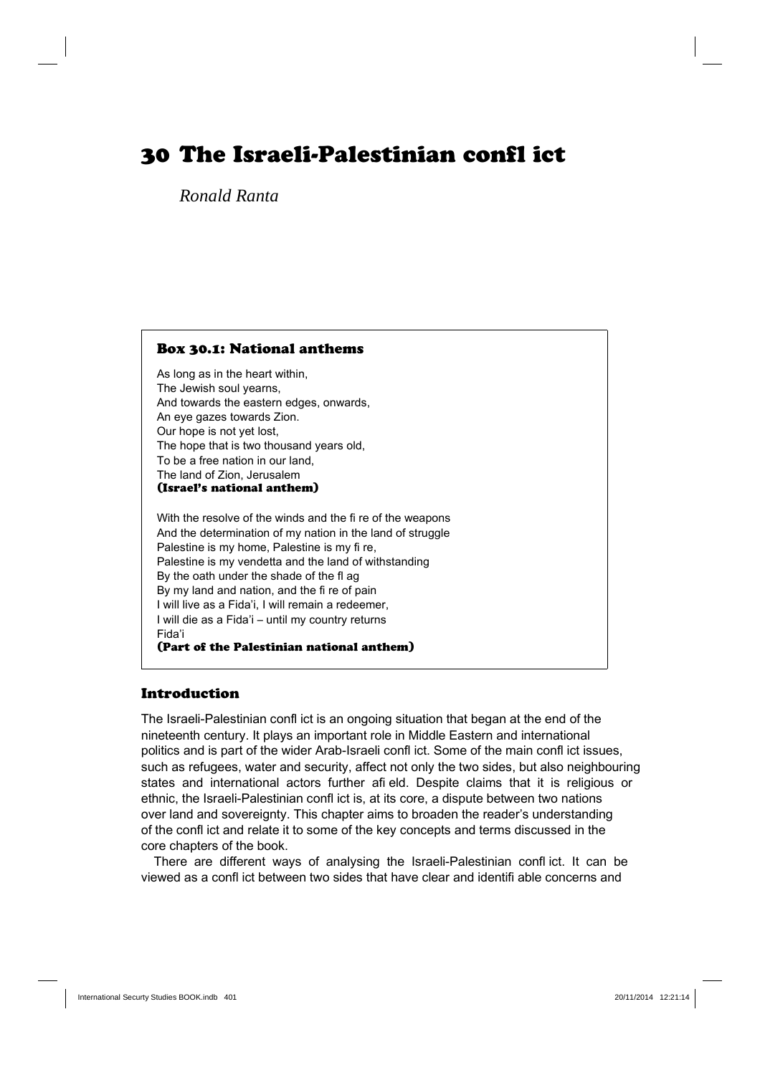*Ronald Ranta*

## Box 30.1: National anthems

As long as in the heart within, The Jewish soul yearns, And towards the eastern edges, onwards, An eye gazes towards Zion. Our hope is not yet lost, The hope that is two thousand years old, To be a free nation in our land, The land of Zion, Jerusalem (Israel's national anthem)

With the resolve of the winds and the fi re of the weapons And the determination of my nation in the land of struggle Palestine is my home, Palestine is my fi re, Palestine is my vendetta and the land of withstanding By the oath under the shade of the fl ag By my land and nation, and the fi re of pain I will live as a Fida'i, I will remain a redeemer, I will die as a Fida'i – until my country returns Fida'i (Part of the Palestinian national anthem)

# Introduction

The Israeli-Palestinian confl ict is an ongoing situation that began at the end of the nineteenth century. It plays an important role in Middle Eastern and international politics and is part of the wider Arab-Israeli confl ict. Some of the main confl ict issues, such as refugees, water and security, affect not only the two sides, but also neighbouring states and international actors further afi eld. Despite claims that it is religious or ethnic, the Israeli-Palestinian confl ict is, at its core, a dispute between two nations over land and sovereignty. This chapter aims to broaden the reader's understanding of the confl ict and relate it to some of the key concepts and terms discussed in the core chapters of the book.

There are different ways of analysing the Israeli-Palestinian confl ict. It can be viewed as a confl ict between two sides that have clear and identifi able concerns and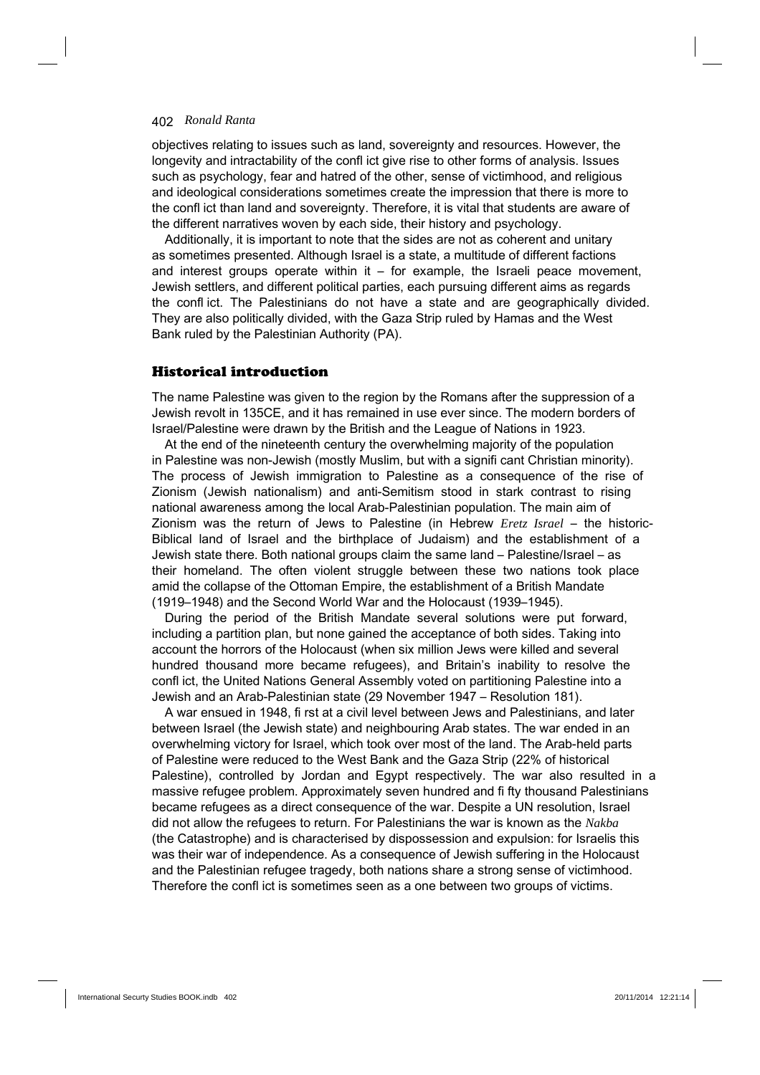objectives relating to issues such as land, sovereignty and resources. However, the longevity and intractability of the confl ict give rise to other forms of analysis. Issues such as psychology, fear and hatred of the other, sense of victimhood, and religious and ideological considerations sometimes create the impression that there is more to the confl ict than land and sovereignty. Therefore, it is vital that students are aware of the different narratives woven by each side, their history and psychology.

Additionally, it is important to note that the sides are not as coherent and unitary as sometimes presented. Although Israel is a state, a multitude of different factions and interest groups operate within it – for example, the Israeli peace movement, Jewish settlers, and different political parties, each pursuing different aims as regards the confl ict. The Palestinians do not have a state and are geographically divided. They are also politically divided, with the Gaza Strip ruled by Hamas and the West Bank ruled by the Palestinian Authority (PA).

# Historical introduction

The name Palestine was given to the region by the Romans after the suppression of a Jewish revolt in 135CE, and it has remained in use ever since. The modern borders of Israel/Palestine were drawn by the British and the League of Nations in 1923.

At the end of the nineteenth century the overwhelming majority of the population in Palestine was non-Jewish (mostly Muslim, but with a signifi cant Christian minority). The process of Jewish immigration to Palestine as a consequence of the rise of Zionism (Jewish nationalism) and anti-Semitism stood in stark contrast to rising national awareness among the local Arab-Palestinian population. The main aim of Zionism was the return of Jews to Palestine (in Hebrew *Eretz Israel* – the historic-Biblical land of Israel and the birthplace of Judaism) and the establishment of a Jewish state there. Both national groups claim the same land – Palestine/Israel – as their homeland. The often violent struggle between these two nations took place amid the collapse of the Ottoman Empire, the establishment of a British Mandate (1919–1948) and the Second World War and the Holocaust (1939–1945).

During the period of the British Mandate several solutions were put forward, including a partition plan, but none gained the acceptance of both sides. Taking into account the horrors of the Holocaust (when six million Jews were killed and several hundred thousand more became refugees), and Britain's inability to resolve the confl ict, the United Nations General Assembly voted on partitioning Palestine into a Jewish and an Arab-Palestinian state (29 November 1947 – Resolution 181).

A war ensued in 1948, fi rst at a civil level between Jews and Palestinians, and later between Israel (the Jewish state) and neighbouring Arab states. The war ended in an overwhelming victory for Israel, which took over most of the land. The Arab-held parts of Palestine were reduced to the West Bank and the Gaza Strip (22% of historical Palestine), controlled by Jordan and Egypt respectively. The war also resulted in a massive refugee problem. Approximately seven hundred and fi fty thousand Palestinians became refugees as a direct consequence of the war. Despite a UN resolution, Israel did not allow the refugees to return. For Palestinians the war is known as the *Nakba* (the Catastrophe) and is characterised by dispossession and expulsion: for Israelis this was their war of independence. As a consequence of Jewish suffering in the Holocaust and the Palestinian refugee tragedy, both nations share a strong sense of victimhood. Therefore the confl ict is sometimes seen as a one between two groups of victims.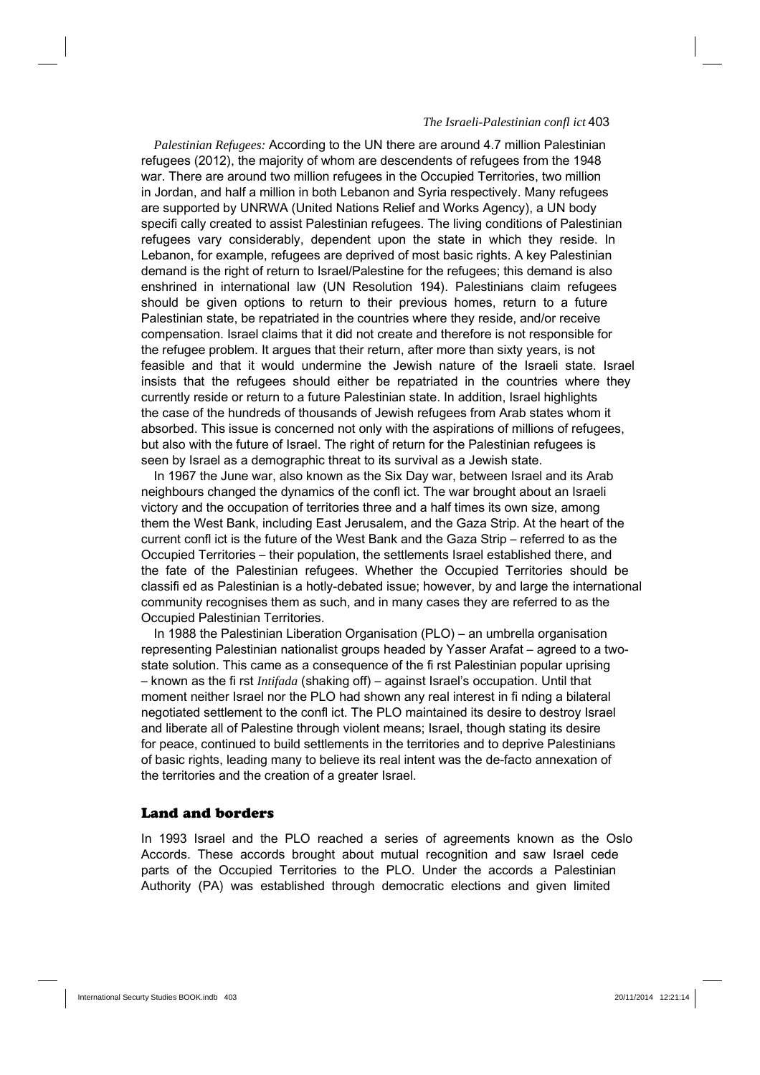*Palestinian Refugees:* According to the UN there are around 4.7 million Palestinian refugees (2012), the majority of whom are descendents of refugees from the 1948 war. There are around two million refugees in the Occupied Territories, two million in Jordan, and half a million in both Lebanon and Syria respectively. Many refugees are supported by UNRWA (United Nations Relief and Works Agency), a UN body specifi cally created to assist Palestinian refugees. The living conditions of Palestinian refugees vary considerably, dependent upon the state in which they reside. In Lebanon, for example, refugees are deprived of most basic rights. A key Palestinian demand is the right of return to Israel/Palestine for the refugees; this demand is also enshrined in international law (UN Resolution 194). Palestinians claim refugees should be given options to return to their previous homes, return to a future Palestinian state, be repatriated in the countries where they reside, and/or receive compensation. Israel claims that it did not create and therefore is not responsible for the refugee problem. It argues that their return, after more than sixty years, is not feasible and that it would undermine the Jewish nature of the Israeli state. Israel insists that the refugees should either be repatriated in the countries where they currently reside or return to a future Palestinian state. In addition, Israel highlights the case of the hundreds of thousands of Jewish refugees from Arab states whom it absorbed. This issue is concerned not only with the aspirations of millions of refugees, but also with the future of Israel. The right of return for the Palestinian refugees is seen by Israel as a demographic threat to its survival as a Jewish state.

In 1967 the June war, also known as the Six Day war, between Israel and its Arab neighbours changed the dynamics of the confl ict. The war brought about an Israeli victory and the occupation of territories three and a half times its own size, among them the West Bank, including East Jerusalem, and the Gaza Strip. At the heart of the current confl ict is the future of the West Bank and the Gaza Strip – referred to as the Occupied Territories – their population, the settlements Israel established there, and the fate of the Palestinian refugees. Whether the Occupied Territories should be classifi ed as Palestinian is a hotly-debated issue; however, by and large the international community recognises them as such, and in many cases they are referred to as the Occupied Palestinian Territories.

In 1988 the Palestinian Liberation Organisation (PLO) – an umbrella organisation representing Palestinian nationalist groups headed by Yasser Arafat – agreed to a twostate solution. This came as a consequence of the fi rst Palestinian popular uprising – known as the fi rst *Intifada* (shaking off) – against Israel's occupation. Until that moment neither Israel nor the PLO had shown any real interest in fi nding a bilateral negotiated settlement to the confl ict. The PLO maintained its desire to destroy Israel and liberate all of Palestine through violent means; Israel, though stating its desire for peace, continued to build settlements in the territories and to deprive Palestinians of basic rights, leading many to believe its real intent was the de-facto annexation of the territories and the creation of a greater Israel.

# Land and borders

In 1993 Israel and the PLO reached a series of agreements known as the Oslo Accords. These accords brought about mutual recognition and saw Israel cede parts of the Occupied Territories to the PLO. Under the accords a Palestinian Authority (PA) was established through democratic elections and given limited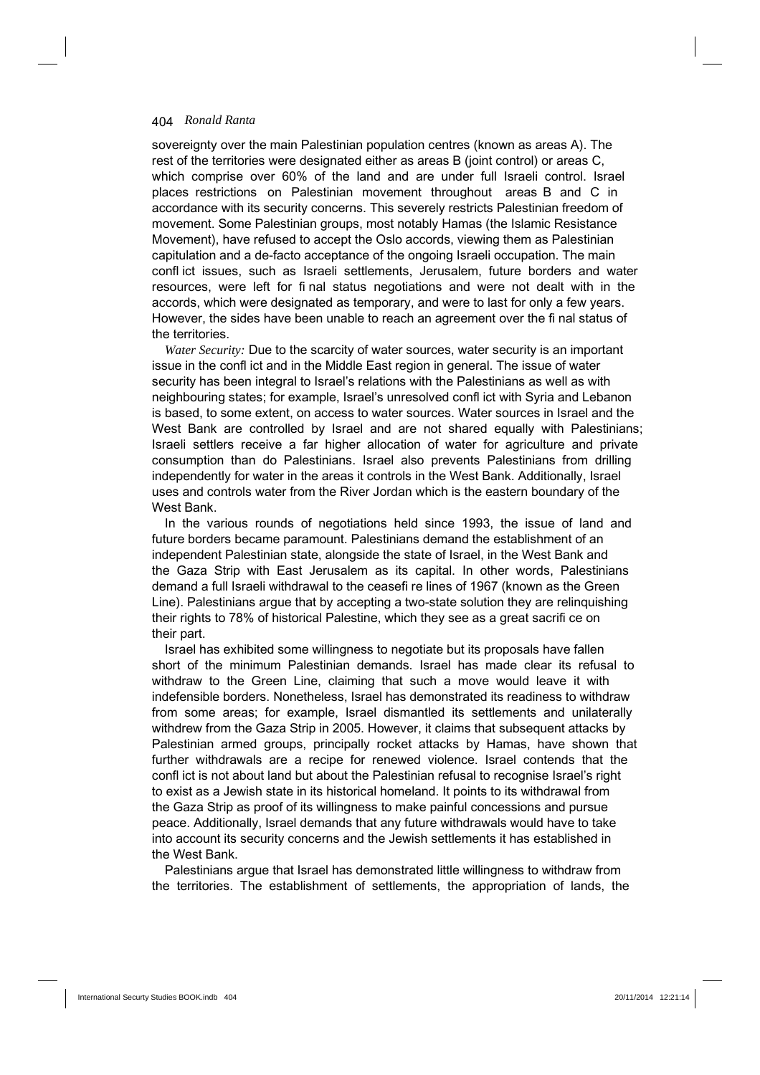sovereignty over the main Palestinian population centres (known as areas A). The rest of the territories were designated either as areas B (joint control) or areas C, which comprise over 60% of the land and are under full Israeli control. Israel places restrictions on Palestinian movement throughout areas B and C in accordance with its security concerns. This severely restricts Palestinian freedom of movement. Some Palestinian groups, most notably Hamas (the Islamic Resistance Movement), have refused to accept the Oslo accords, viewing them as Palestinian capitulation and a de-facto acceptance of the ongoing Israeli occupation. The main confl ict issues, such as Israeli settlements, Jerusalem, future borders and water resources, were left for fi nal status negotiations and were not dealt with in the accords, which were designated as temporary, and were to last for only a few years. However, the sides have been unable to reach an agreement over the fi nal status of the territories.

*Water Security:* Due to the scarcity of water sources, water security is an important issue in the confl ict and in the Middle East region in general. The issue of water security has been integral to Israel's relations with the Palestinians as well as with neighbouring states; for example, Israel's unresolved confl ict with Syria and Lebanon is based, to some extent, on access to water sources. Water sources in Israel and the West Bank are controlled by Israel and are not shared equally with Palestinians; Israeli settlers receive a far higher allocation of water for agriculture and private consumption than do Palestinians. Israel also prevents Palestinians from drilling independently for water in the areas it controls in the West Bank. Additionally, Israel uses and controls water from the River Jordan which is the eastern boundary of the West Bank.

In the various rounds of negotiations held since 1993, the issue of land and future borders became paramount. Palestinians demand the establishment of an independent Palestinian state, alongside the state of Israel, in the West Bank and the Gaza Strip with East Jerusalem as its capital. In other words, Palestinians demand a full Israeli withdrawal to the ceasefi re lines of 1967 (known as the Green Line). Palestinians argue that by accepting a two-state solution they are relinquishing their rights to 78% of historical Palestine, which they see as a great sacrifi ce on their part.

Israel has exhibited some willingness to negotiate but its proposals have fallen short of the minimum Palestinian demands. Israel has made clear its refusal to withdraw to the Green Line, claiming that such a move would leave it with indefensible borders. Nonetheless, Israel has demonstrated its readiness to withdraw from some areas; for example, Israel dismantled its settlements and unilaterally withdrew from the Gaza Strip in 2005. However, it claims that subsequent attacks by Palestinian armed groups, principally rocket attacks by Hamas, have shown that further withdrawals are a recipe for renewed violence. Israel contends that the confl ict is not about land but about the Palestinian refusal to recognise Israel's right to exist as a Jewish state in its historical homeland. It points to its withdrawal from the Gaza Strip as proof of its willingness to make painful concessions and pursue peace. Additionally, Israel demands that any future withdrawals would have to take into account its security concerns and the Jewish settlements it has established in the West Bank.

Palestinians argue that Israel has demonstrated little willingness to withdraw from the territories. The establishment of settlements, the appropriation of lands, the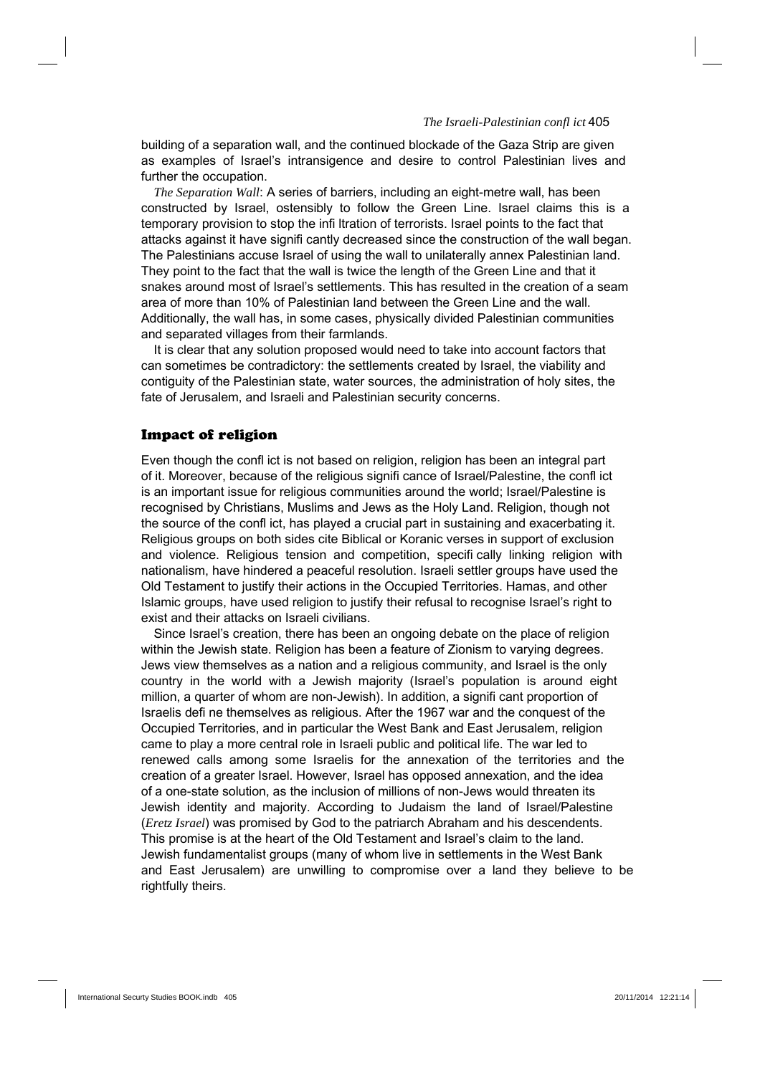building of a separation wall, and the continued blockade of the Gaza Strip are given as examples of Israel's intransigence and desire to control Palestinian lives and further the occupation.

*The Separation Wall*: A series of barriers, including an eight-metre wall, has been constructed by Israel, ostensibly to follow the Green Line. Israel claims this is a temporary provision to stop the infi ltration of terrorists. Israel points to the fact that attacks against it have signifi cantly decreased since the construction of the wall began. The Palestinians accuse Israel of using the wall to unilaterally annex Palestinian land. They point to the fact that the wall is twice the length of the Green Line and that it snakes around most of Israel's settlements. This has resulted in the creation of a seam area of more than 10% of Palestinian land between the Green Line and the wall. Additionally, the wall has, in some cases, physically divided Palestinian communities and separated villages from their farmlands.

It is clear that any solution proposed would need to take into account factors that can sometimes be contradictory: the settlements created by Israel, the viability and contiguity of the Palestinian state, water sources, the administration of holy sites, the fate of Jerusalem, and Israeli and Palestinian security concerns.

# Impact of religion

Even though the confl ict is not based on religion, religion has been an integral part of it. Moreover, because of the religious signifi cance of Israel/Palestine, the confl ict is an important issue for religious communities around the world; Israel/Palestine is recognised by Christians, Muslims and Jews as the Holy Land. Religion, though not the source of the confl ict, has played a crucial part in sustaining and exacerbating it. Religious groups on both sides cite Biblical or Koranic verses in support of exclusion and violence. Religious tension and competition, specifi cally linking religion with nationalism, have hindered a peaceful resolution. Israeli settler groups have used the Old Testament to justify their actions in the Occupied Territories. Hamas, and other Islamic groups, have used religion to justify their refusal to recognise Israel's right to exist and their attacks on Israeli civilians.

Since Israel's creation, there has been an ongoing debate on the place of religion within the Jewish state. Religion has been a feature of Zionism to varying degrees. Jews view themselves as a nation and a religious community, and Israel is the only country in the world with a Jewish majority (Israel's population is around eight million, a quarter of whom are non-Jewish). In addition, a signifi cant proportion of Israelis defi ne themselves as religious. After the 1967 war and the conquest of the Occupied Territories, and in particular the West Bank and East Jerusalem, religion came to play a more central role in Israeli public and political life. The war led to renewed calls among some Israelis for the annexation of the territories and the creation of a greater Israel. However, Israel has opposed annexation, and the idea of a one-state solution, as the inclusion of millions of non-Jews would threaten its Jewish identity and majority. According to Judaism the land of Israel/Palestine (*Eretz Israel*) was promised by God to the patriarch Abraham and his descendents. This promise is at the heart of the Old Testament and Israel's claim to the land. Jewish fundamentalist groups (many of whom live in settlements in the West Bank and East Jerusalem) are unwilling to compromise over a land they believe to be rightfully theirs.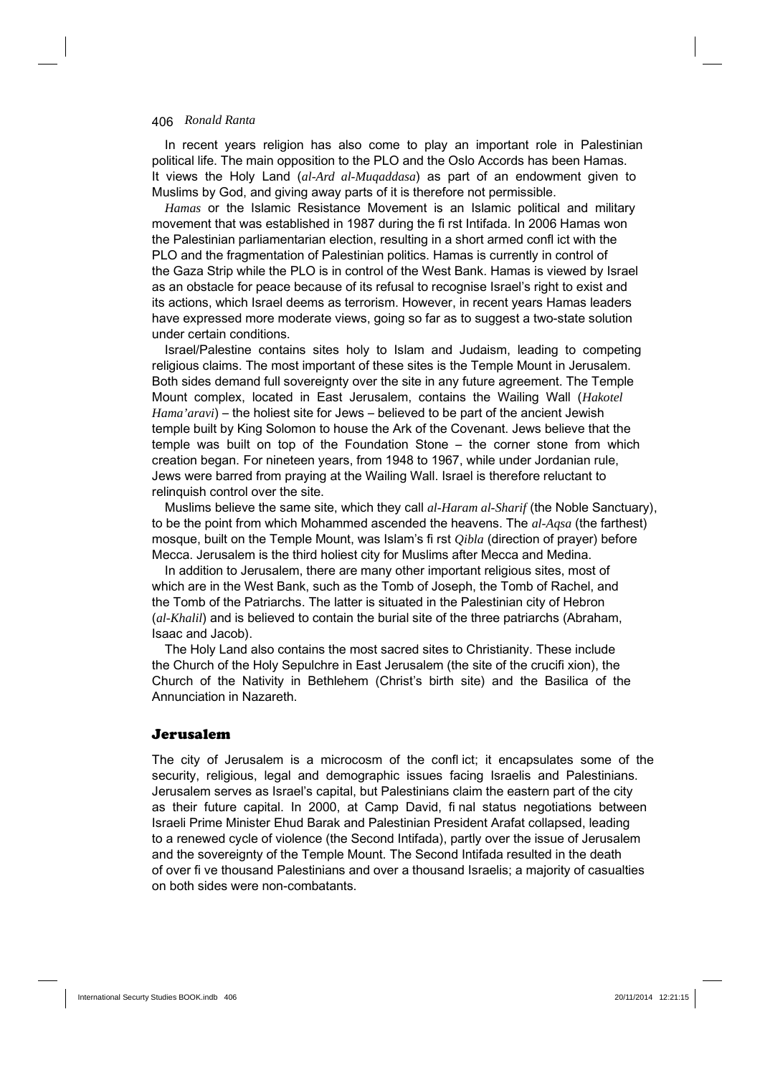In recent years religion has also come to play an important role in Palestinian political life. The main opposition to the PLO and the Oslo Accords has been Hamas. It views the Holy Land (*al-Ard al-Muqaddasa*) as part of an endowment given to Muslims by God, and giving away parts of it is therefore not permissible.

*Hamas* or the Islamic Resistance Movement is an Islamic political and military movement that was established in 1987 during the fi rst Intifada. In 2006 Hamas won the Palestinian parliamentarian election, resulting in a short armed confl ict with the PLO and the fragmentation of Palestinian politics. Hamas is currently in control of the Gaza Strip while the PLO is in control of the West Bank. Hamas is viewed by Israel as an obstacle for peace because of its refusal to recognise Israel's right to exist and its actions, which Israel deems as terrorism. However, in recent years Hamas leaders have expressed more moderate views, going so far as to suggest a two-state solution under certain conditions.

Israel/Palestine contains sites holy to Islam and Judaism, leading to competing religious claims. The most important of these sites is the Temple Mount in Jerusalem. Both sides demand full sovereignty over the site in any future agreement. The Temple Mount complex, located in East Jerusalem, contains the Wailing Wall (*Hakotel Hama'aravi*) – the holiest site for Jews – believed to be part of the ancient Jewish temple built by King Solomon to house the Ark of the Covenant. Jews believe that the temple was built on top of the Foundation Stone – the corner stone from which creation began. For nineteen years, from 1948 to 1967, while under Jordanian rule, Jews were barred from praying at the Wailing Wall. Israel is therefore reluctant to relinquish control over the site.

Muslims believe the same site, which they call *al-Haram al-Sharif* (the Noble Sanctuary), to be the point from which Mohammed ascended the heavens. The *al-Aqsa* (the farthest) mosque, built on the Temple Mount, was Islam's fi rst *Qibla* (direction of prayer) before Mecca. Jerusalem is the third holiest city for Muslims after Mecca and Medina.

In addition to Jerusalem, there are many other important religious sites, most of which are in the West Bank, such as the Tomb of Joseph, the Tomb of Rachel, and the Tomb of the Patriarchs. The latter is situated in the Palestinian city of Hebron (*al-Khalil*) and is believed to contain the burial site of the three patriarchs (Abraham, Isaac and Jacob).

The Holy Land also contains the most sacred sites to Christianity. These include the Church of the Holy Sepulchre in East Jerusalem (the site of the crucifi xion), the Church of the Nativity in Bethlehem (Christ's birth site) and the Basilica of the Annunciation in Nazareth.

## Jerusalem

The city of Jerusalem is a microcosm of the confl ict; it encapsulates some of the security, religious, legal and demographic issues facing Israelis and Palestinians. Jerusalem serves as Israel's capital, but Palestinians claim the eastern part of the city as their future capital. In 2000, at Camp David, fi nal status negotiations between Israeli Prime Minister Ehud Barak and Palestinian President Arafat collapsed, leading to a renewed cycle of violence (the Second Intifada), partly over the issue of Jerusalem and the sovereignty of the Temple Mount. The Second Intifada resulted in the death of over fi ve thousand Palestinians and over a thousand Israelis; a majority of casualties on both sides were non-combatants.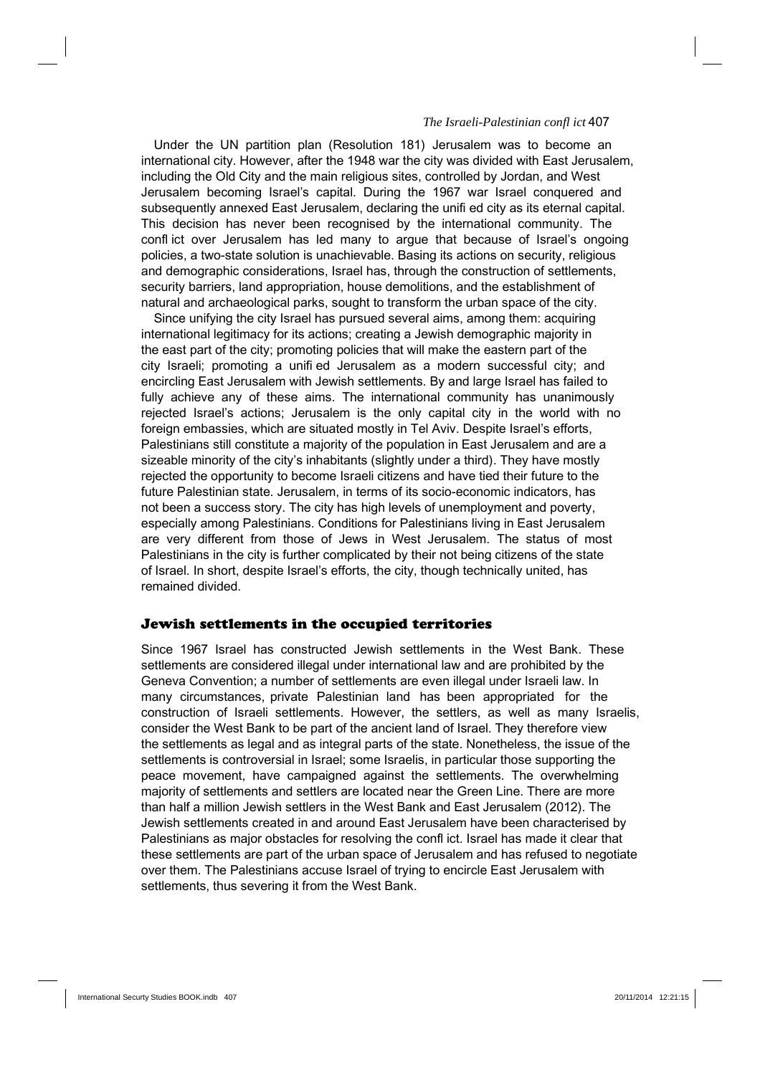Under the UN partition plan (Resolution 181) Jerusalem was to become an international city. However, after the 1948 war the city was divided with East Jerusalem, including the Old City and the main religious sites, controlled by Jordan, and West Jerusalem becoming Israel's capital. During the 1967 war Israel conquered and subsequently annexed East Jerusalem, declaring the unifi ed city as its eternal capital. This decision has never been recognised by the international community. The confl ict over Jerusalem has led many to argue that because of Israel's ongoing policies, a two-state solution is unachievable. Basing its actions on security, religious and demographic considerations, Israel has, through the construction of settlements, security barriers, land appropriation, house demolitions, and the establishment of natural and archaeological parks, sought to transform the urban space of the city.

Since unifying the city Israel has pursued several aims, among them: acquiring international legitimacy for its actions; creating a Jewish demographic majority in the east part of the city; promoting policies that will make the eastern part of the city Israeli; promoting a unifi ed Jerusalem as a modern successful city; and encircling East Jerusalem with Jewish settlements. By and large Israel has failed to fully achieve any of these aims. The international community has unanimously rejected Israel's actions; Jerusalem is the only capital city in the world with no foreign embassies, which are situated mostly in Tel Aviv. Despite Israel's efforts, Palestinians still constitute a majority of the population in East Jerusalem and are a sizeable minority of the city's inhabitants (slightly under a third). They have mostly rejected the opportunity to become Israeli citizens and have tied their future to the future Palestinian state. Jerusalem, in terms of its socio-economic indicators, has not been a success story. The city has high levels of unemployment and poverty, especially among Palestinians. Conditions for Palestinians living in East Jerusalem are very different from those of Jews in West Jerusalem. The status of most Palestinians in the city is further complicated by their not being citizens of the state of Israel. In short, despite Israel's efforts, the city, though technically united, has remained divided.

#### Jewish settlements in the occupied territories

Since 1967 Israel has constructed Jewish settlements in the West Bank. These settlements are considered illegal under international law and are prohibited by the Geneva Convention; a number of settlements are even illegal under Israeli law. In many circumstances, private Palestinian land has been appropriated for the construction of Israeli settlements. However, the settlers, as well as many Israelis, consider the West Bank to be part of the ancient land of Israel. They therefore view the settlements as legal and as integral parts of the state. Nonetheless, the issue of the settlements is controversial in Israel; some Israelis, in particular those supporting the peace movement, have campaigned against the settlements. The overwhelming majority of settlements and settlers are located near the Green Line. There are more than half a million Jewish settlers in the West Bank and East Jerusalem (2012). The Jewish settlements created in and around East Jerusalem have been characterised by Palestinians as major obstacles for resolving the confl ict. Israel has made it clear that these settlements are part of the urban space of Jerusalem and has refused to negotiate over them. The Palestinians accuse Israel of trying to encircle East Jerusalem with settlements, thus severing it from the West Bank.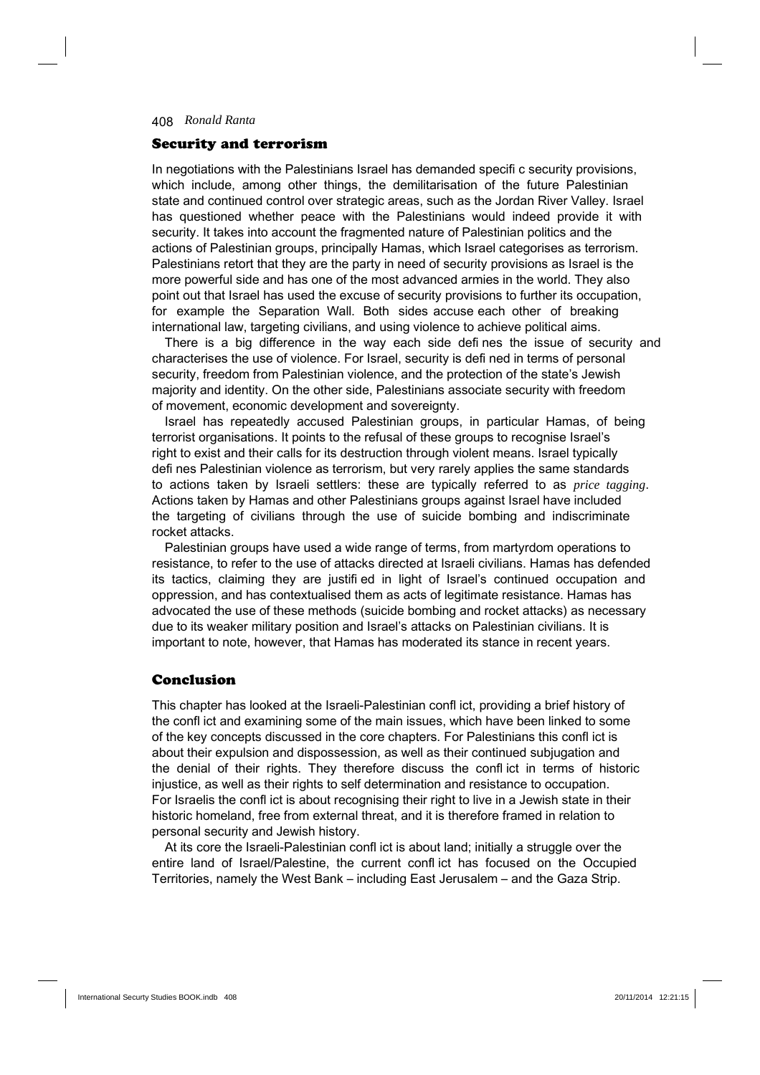#### Security and terrorism

In negotiations with the Palestinians Israel has demanded specifi c security provisions, which include, among other things, the demilitarisation of the future Palestinian state and continued control over strategic areas, such as the Jordan River Valley. Israel has questioned whether peace with the Palestinians would indeed provide it with security. It takes into account the fragmented nature of Palestinian politics and the actions of Palestinian groups, principally Hamas, which Israel categorises as terrorism. Palestinians retort that they are the party in need of security provisions as Israel is the more powerful side and has one of the most advanced armies in the world. They also point out that Israel has used the excuse of security provisions to further its occupation, for example the Separation Wall. Both sides accuse each other of breaking international law, targeting civilians, and using violence to achieve political aims.

There is a big difference in the way each side defi nes the issue of security and characterises the use of violence. For Israel, security is defi ned in terms of personal security, freedom from Palestinian violence, and the protection of the state's Jewish majority and identity. On the other side, Palestinians associate security with freedom of movement, economic development and sovereignty.

Israel has repeatedly accused Palestinian groups, in particular Hamas, of being terrorist organisations. It points to the refusal of these groups to recognise Israel's right to exist and their calls for its destruction through violent means. Israel typically defi nes Palestinian violence as terrorism, but very rarely applies the same standards to actions taken by Israeli settlers: these are typically referred to as *price tagging*. Actions taken by Hamas and other Palestinians groups against Israel have included the targeting of civilians through the use of suicide bombing and indiscriminate rocket attacks.

Palestinian groups have used a wide range of terms, from martyrdom operations to resistance, to refer to the use of attacks directed at Israeli civilians. Hamas has defended its tactics, claiming they are justifi ed in light of Israel's continued occupation and oppression, and has contextualised them as acts of legitimate resistance. Hamas has advocated the use of these methods (suicide bombing and rocket attacks) as necessary due to its weaker military position and Israel's attacks on Palestinian civilians. It is important to note, however, that Hamas has moderated its stance in recent years.

## Conclusion

This chapter has looked at the Israeli-Palestinian confl ict, providing a brief history of the confl ict and examining some of the main issues, which have been linked to some of the key concepts discussed in the core chapters. For Palestinians this confl ict is about their expulsion and dispossession, as well as their continued subjugation and the denial of their rights. They therefore discuss the confl ict in terms of historic injustice, as well as their rights to self determination and resistance to occupation. For Israelis the confl ict is about recognising their right to live in a Jewish state in their historic homeland, free from external threat, and it is therefore framed in relation to personal security and Jewish history.

At its core the Israeli-Palestinian confl ict is about land; initially a struggle over the entire land of Israel/Palestine, the current confl ict has focused on the Occupied Territories, namely the West Bank – including East Jerusalem – and the Gaza Strip.